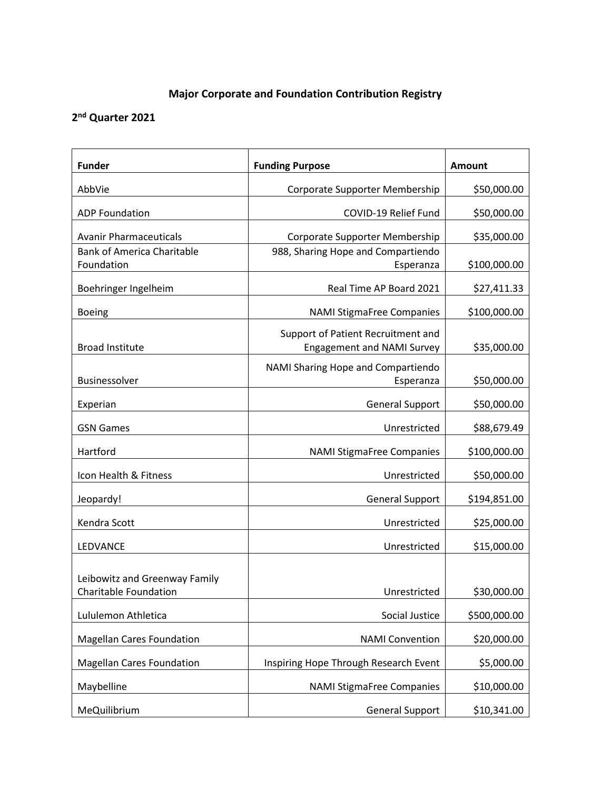## **Major Corporate and Foundation Contribution Registry**

## **2nd Quarter 2021**

| <b>Funder</b>                                                 | <b>Funding Purpose</b>                                                  | Amount       |
|---------------------------------------------------------------|-------------------------------------------------------------------------|--------------|
| AbbVie                                                        | Corporate Supporter Membership                                          | \$50,000.00  |
| <b>ADP Foundation</b>                                         | COVID-19 Relief Fund                                                    | \$50,000.00  |
| <b>Avanir Pharmaceuticals</b>                                 | Corporate Supporter Membership                                          | \$35,000.00  |
| <b>Bank of America Charitable</b><br>Foundation               | 988, Sharing Hope and Compartiendo<br>Esperanza                         | \$100,000.00 |
| Boehringer Ingelheim                                          | Real Time AP Board 2021                                                 | \$27,411.33  |
| <b>Boeing</b>                                                 | <b>NAMI StigmaFree Companies</b>                                        | \$100,000.00 |
| <b>Broad Institute</b>                                        | Support of Patient Recruitment and<br><b>Engagement and NAMI Survey</b> | \$35,000.00  |
| Businessolver                                                 | NAMI Sharing Hope and Compartiendo<br>Esperanza                         | \$50,000.00  |
| Experian                                                      | <b>General Support</b>                                                  | \$50,000.00  |
| <b>GSN Games</b>                                              | Unrestricted                                                            | \$88,679.49  |
| Hartford                                                      | <b>NAMI StigmaFree Companies</b>                                        | \$100,000.00 |
| Icon Health & Fitness                                         | Unrestricted                                                            | \$50,000.00  |
| Jeopardy!                                                     | <b>General Support</b>                                                  | \$194,851.00 |
| Kendra Scott                                                  | Unrestricted                                                            | \$25,000.00  |
| LEDVANCE                                                      | Unrestricted                                                            | \$15,000.00  |
| Leibowitz and Greenway Family<br><b>Charitable Foundation</b> | Unrestricted                                                            | \$30,000.00  |
| Lululemon Athletica                                           | Social Justice                                                          | \$500,000.00 |
| <b>Magellan Cares Foundation</b>                              | <b>NAMI Convention</b>                                                  | \$20,000.00  |
| <b>Magellan Cares Foundation</b>                              | Inspiring Hope Through Research Event                                   | \$5,000.00   |
| Maybelline                                                    | <b>NAMI StigmaFree Companies</b>                                        | \$10,000.00  |
| MeQuilibrium                                                  | <b>General Support</b>                                                  | \$10,341.00  |